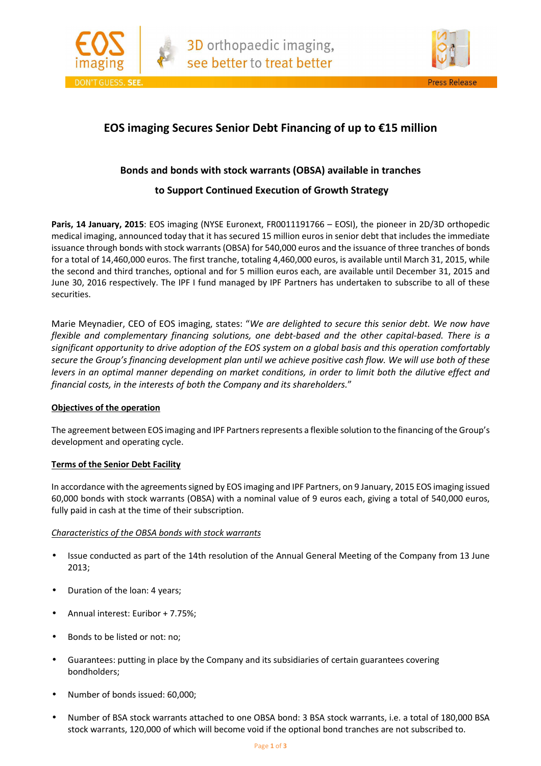



## **EOS imaging Secures Senior Debt Financing of up to €15 million**

## **Bonds and bonds with stock warrants (OBSA) available in tranches**

## **to Support Continued Execution of Growth Strategy**

Paris, 14 January, 2015: EOS imaging (NYSE Euronext, FR0011191766 - EOSI), the pioneer in 2D/3D orthopedic medical imaging, announced today that it has secured 15 million euros in senior debt that includes the immediate issuance through bonds with stock warrants (OBSA) for 540,000 euros and the issuance of three tranches of bonds for a total of 14,460,000 euros. The first tranche, totaling 4,460,000 euros, is available until March 31, 2015, while the second and third tranches, optional and for 5 million euros each, are available until December 31, 2015 and June 30, 2016 respectively. The IPF I fund managed by IPF Partners has undertaken to subscribe to all of these securities.

Marie Meynadier, CEO of EOS imaging, states: "*We are delighted to secure this senior debt. We now have flexible and complementary financing solutions, one debt-based and the other capital-based. There is a significant opportunity to drive adoption of the EOS system on a global basis and this operation comfortably secure the Group's financing development plan until we achieve positive cash flow. We will use both of these levers in an optimal manner depending on market conditions, in order to limit both the dilutive effect and financial costs, in the interests of both the Company and its shareholders.*"

## **Objectives of the operation**

The agreement between EOS imaging and IPF Partners represents a flexible solution to the financing of the Group's development and operating cycle.

## **Terms of the Senior Debt Facility**

In accordance with the agreements signed by EOS imaging and IPF Partners, on 9 January, 2015 EOS imaging issued 60,000 bonds with stock warrants (OBSA) with a nominal value of 9 euros each, giving a total of 540,000 euros, fully paid in cash at the time of their subscription.

## *Characteristics of the OBSA bonds with stock warrants*

- Issue conducted as part of the 14th resolution of the Annual General Meeting of the Company from 13 June 2013;
- Duration of the loan: 4 years;
- Annual interest: Euribor + 7.75%;
- Bonds to be listed or not: no;
- Guarantees: putting in place by the Company and its subsidiaries of certain guarantees covering bondholders;
- Number of bonds issued: 60,000;
- Number of BSA stock warrants attached to one OBSA bond: 3 BSA stock warrants, i.e. a total of 180,000 BSA stock warrants, 120,000 of which will become void if the optional bond tranches are not subscribed to.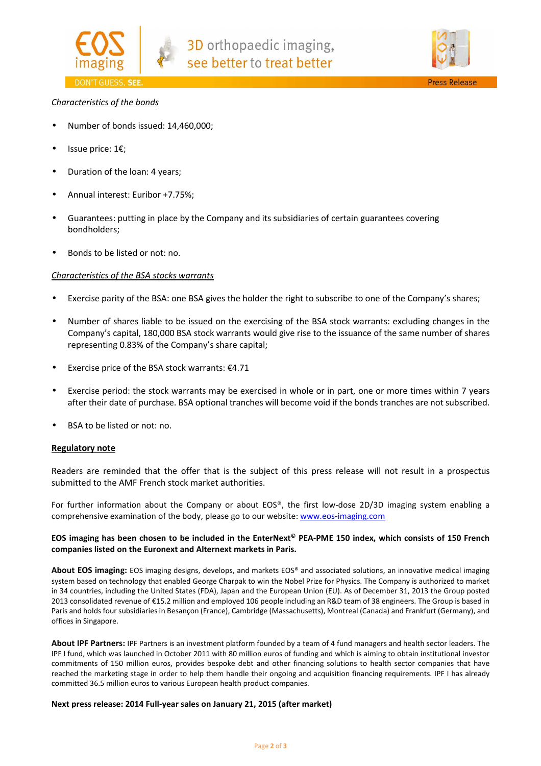



## *Characteristics of the bonds*

- Number of bonds issued: 14,460,000;
- Issue price: 1€;
- Duration of the loan: 4 years;
- Annual interest: Euribor +7.75%;
- Guarantees: putting in place by the Company and its subsidiaries of certain guarantees covering bondholders;
- Bonds to be listed or not: no.

#### *Characteristics of the BSA stocks warrants*

- Exercise parity of the BSA: one BSA gives the holder the right to subscribe to one of the Company's shares;
- Number of shares liable to be issued on the exercising of the BSA stock warrants: excluding changes in the Company's capital, 180,000 BSA stock warrants would give rise to the issuance of the same number of shares representing 0.83% of the Company's share capital;
- Exercise price of the BSA stock warrants:  $£4.71$
- Exercise period: the stock warrants may be exercised in whole or in part, one or more times within 7 years after their date of purchase. BSA optional tranches will become void if the bonds tranches are not subscribed.
- BSA to be listed or not: no.

#### **Regulatory note**

Readers are reminded that the offer that is the subject of this press release will not result in a prospectus submitted to the AMF French stock market authorities.

For further information about the Company or about EOS®, the first low-dose 2D/3D imaging system enabling a comprehensive examination of the body, please go to our website: www.eos-imaging.com

## **EOS imaging has been chosen to be included in the EnterNext© PEA-PME 150 index, which consists of 150 French companies listed on the Euronext and Alternext markets in Paris.**

**About EOS imaging:** EOS imaging designs, develops, and markets EOS® and associated solutions, an innovative medical imaging system based on technology that enabled George Charpak to win the Nobel Prize for Physics. The Company is authorized to market in 34 countries, including the United States (FDA), Japan and the European Union (EU). As of December 31, 2013 the Group posted 2013 consolidated revenue of €15.2 million and employed 106 people including an R&D team of 38 engineers. The Group is based in Paris and holds four subsidiaries in Besançon (France), Cambridge (Massachusetts), Montreal (Canada) and Frankfurt (Germany), and offices in Singapore.

**About IPF Partners:** IPF Partners is an investment platform founded by a team of 4 fund managers and health sector leaders. The IPF I fund, which was launched in October 2011 with 80 million euros of funding and which is aiming to obtain institutional investor commitments of 150 million euros, provides bespoke debt and other financing solutions to health sector companies that have reached the marketing stage in order to help them handle their ongoing and acquisition financing requirements. IPF I has already committed 36.5 million euros to various European health product companies.

#### **Next press release: 2014 Full-year sales on January 21, 2015 (after market)**